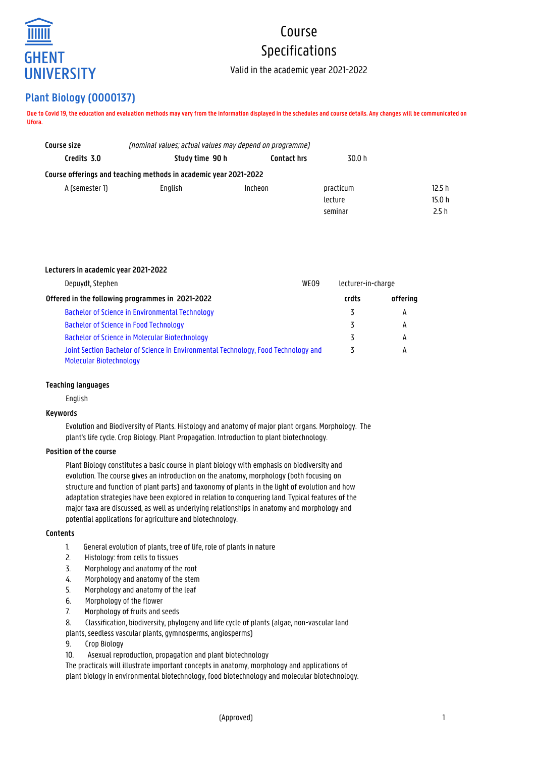

# Course Specifications

Valid in the academic year 2021-2022

# **Plant Biology (O000137)**

**Due to Covid 19, the education and evaluation methods may vary from the information displayed in the schedules and course details. Any changes will be communicated on Ufora.**

| Study time 90 h | <b>Contact hrs</b> | 30.0 h                                                                                                                      |        |
|-----------------|--------------------|-----------------------------------------------------------------------------------------------------------------------------|--------|
|                 |                    |                                                                                                                             |        |
| Enalish         | Incheon            | practicum                                                                                                                   | 12.5 h |
|                 |                    | lecture                                                                                                                     | 15.0 h |
|                 |                    | seminar                                                                                                                     | 2.5h   |
|                 |                    | (nominal values; actual values may depend on programme)<br>Course offerings and teaching methods in academic year 2021-2022 |        |

# **Lecturers in academic year 2021-2022**

| WE <sub>09</sub><br>Depuydt, Stephen                                                                          |  | lecturer-in-charge |          |
|---------------------------------------------------------------------------------------------------------------|--|--------------------|----------|
| Offered in the following programmes in 2021-2022                                                              |  | crdts              | offering |
| Bachelor of Science in Environmental Technology                                                               |  |                    | А        |
| Bachelor of Science in Food Technology                                                                        |  | 3                  | A        |
| Bachelor of Science in Molecular Biotechnology                                                                |  |                    | А        |
| Joint Section Bachelor of Science in Environmental Technology, Food Technology and<br>Molecular Biotechnology |  |                    | А        |

# **Teaching languages**

English

# **Keywords**

Evolution and Biodiversity of Plants. Histology and anatomy of major plant organs. Morphology. The plant's life cycle. Crop Biology. Plant Propagation. Introduction to plant biotechnology.

# **Position of the course**

Plant Biology constitutes a basic course in plant biology with emphasis on biodiversity and evolution. The course gives an introduction on the anatomy, morphology (both focusing on structure and function of plant parts) and taxonomy of plants in the light of evolution and how adaptation strategies have been explored in relation to conquering land. Typical features of the major taxa are discussed, as well as underlying relationships in anatomy and morphology and potential applications for agriculture and biotechnology.

## **Contents**

- 1. General evolution of plants, tree of life, role of plants in nature
- 2. Histology: from cells to tissues
- 3. Morphology and anatomy of the root
- 4. Morphology and anatomy of the stem
- 5. Morphology and anatomy of the leaf
- 6. Morphology of the flower
- 7. Morphology of fruits and seeds
- 8. Classification, biodiversity, phylogeny and life cycle of plants (algae, non-vascular land

plants, seedless vascular plants, gymnosperms, angiosperms)

- 9. Crop Biology
- 10. Asexual reproduction, propagation and plant biotechnology

The practicals will illustrate important concepts in anatomy, morphology and applications of plant biology in environmental biotechnology, food biotechnology and molecular biotechnology.